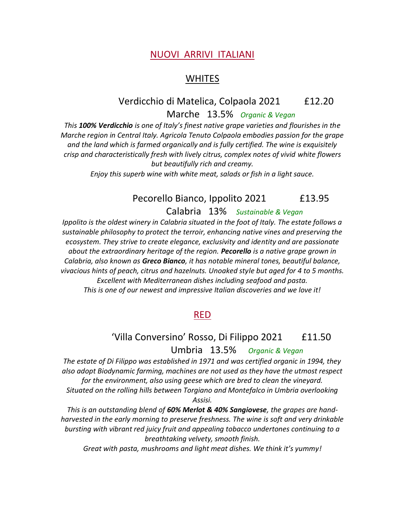### NUOVI ARRIVI ITALIANI

## **WHITES**

# Verdicchio di Matelica, Colpaola 2021 £12.20

Marche 13.5% *Organic & Vegan* 

*This 100% Verdicchio is one of Italy's finest native grape varieties and flourishes in the Marche region in Central Italy. Agricola Tenuto Colpaola embodies passion for the grape and the land which is farmed organically and is fully certified. The wine is exquisitely crisp and characteristically fresh with lively citrus, complex notes of vivid white flowers but beautifully rich and creamy.* 

*Enjoy this superb wine with white meat, salads or fish in a light sauce.* 

# Pecorello Bianco, Ippolito 2021 f13.95 Calabria 13% *Sustainable & Vegan*

*Ippolito is the oldest winery in Calabria situated in the foot of Italy. The estate follows a sustainable philosophy to protect the terroir, enhancing native vines and preserving the ecosystem. They strive to create elegance, exclusivity and identity and are passionate about the extraordinary heritage of the region. Pecorello is a native grape grown in Calabria, also known as Greco Bianco, it has notable mineral tones, beautiful balance, vivacious hints of peach, citrus and hazelnuts. Unoaked style but aged for 4 to 5 months. Excellent with Mediterranean dishes including seafood and pasta. This is one of our newest and impressive Italian discoveries and we love it!*

#### RED

# 'Villa Conversino' Rosso, Di Filippo 2021 £11.50 Umbria 13.5% *Organic & Vegan*

*The estate of Di Filippo was established in 1971 and was certified organic in 1994, they also adopt Biodynamic farming, machines are not used as they have the utmost respect for the environment, also using geese which are bred to clean the vineyard. Situated on the rolling hills between Torgiano and Montefalco in Umbria overlooking Assisi.*

*This is an outstanding blend of 60% Merlot & 40% Sangiovese, the grapes are handharvested in the early morning to preserve freshness. The wine is soft and very drinkable bursting with vibrant red juicy fruit and appealing tobacco undertones continuing to a breathtaking velvety, smooth finish.*

*Great with pasta, mushrooms and light meat dishes. We think it's yummy!*